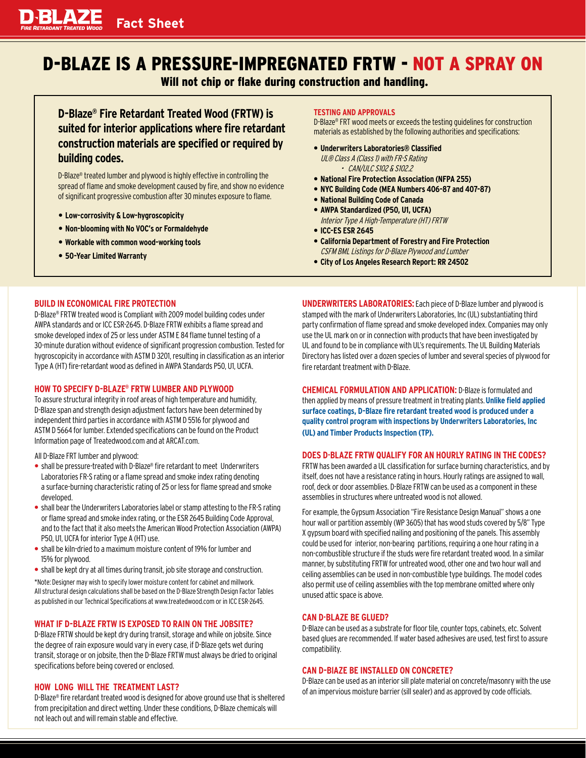# **Fact Sheet**

# D-BLAZE IS A PRESSURE-IMPREGNATED FRTW - NOT A SPRAY ON

Will not chip or flake during construction and handling.

**D-Blaze® Fire Retardant Treated Wood (FRTW) is suited for interior applications where fire retardant construction materials are specified or required by building codes.** 

D-Blaze® treated lumber and plywood is highly effective in controlling the spread of flame and smoke development caused by fire, and show no evidence of significant progressive combustion after 30 minutes exposure to flame.

- **Low-corrosivity & Low-hygroscopicity**
- **Non-blooming with No VOC's or Formaldehyde**
- **Workable with common wood-working tools**
- **50-Year Limited Warranty**

#### **TESTING AND APPROVALS**

D-Blaze® FRT wood meets or exceeds the testing guidelines for construction materials as established by the following authorities and specifications:

- **Underwriters Laboratories® Classified** UL® Class A (Class 1) with FR-S Rating • CAN/ULC S102 & S102.2
- **National Fire Protection Association (NFPA 255)**
- **NYC Building Code (MEA Numbers 406-87 and 407-87)**
- **National Building Code of Canada**
- **AWPA Standardized (P50, U1, UCFA)**
	- Interior Type A High-Temperature (HT) FRTW
- **ICC-ES ESR 2645**
- **California Department of Forestry and Fire Protection**  CSFM BML Listings for D-Blaze Plywood and Lumber
- **City of Los Angeles Research Report: RR 24502**

# **BUILD IN ECONOMICAL FIRE PROTECTION**

D-Blaze® FRTW treated wood is Compliant with 2009 model building codes under AWPA standards and or ICC ESR-2645. D-Blaze FRTW exhibits a flame spread and smoke developed index of 25 or less under ASTM E 84 flame tunnel testing of a 30-minute duration without evidence of significant progression combustion. Tested for hygroscopicity in accordance with ASTM D 3201, resulting in classification as an interior Type A (HT) fire-retardant wood as defined in AWPA Standards P50, U1, UCFA.

# **HOW TO SPECIFY D-BLAZE® FRTW LUMBER AND PLYWOOD**

To assure structural integrity in roof areas of high temperature and humidity, D-Blaze span and strength design adjustment factors have been determined by independent third parties in accordance with ASTM D 5516 for plywood and ASTM D 5664 for lumber. Extended specifications can be found on the Product Information page of Treatedwood.com and at ARCAT.com.

All D-Blaze FRT lumber and plywood:

- shall be pressure-treated with D-Blaze® fire retardant to meet Underwriters Laboratories FR-S rating or a flame spread and smoke index rating denoting a surface-burning characteristic rating of 25 or less for flame spread and smoke developed.
- shall bear the Underwriters Laboratories label or stamp attesting to the FR-S rating or flame spread and smoke index rating, or the ESR 2645 Building Code Approval, and to the fact that it also meets the American Wood Protection Association (AWPA) P50, U1, UCFA for interior Type A (HT) use.
- shall be kiln-dried to a maximum moisture content of 19% for lumber and 15% for plywood.
- shall be kept dry at all times during transit, job site storage and construction.

\*Note: Designer may wish to specify lower moisture content for cabinet and millwork. All structural design calculations shall be based on the D-Blaze Strength Design Factor Tables as published in our Technical Specifications at www.treatedwood.comor in ICC ESR-2645.

# **WHAT IF D-BLAZE FRTW IS EXPOSED TO RAIN ON THE JOBSITE?**

D-Blaze FRTW should be kept dry during transit, storage and while on jobsite. Since the degree of rain exposure would vary in every case, if D-Blaze gets wet during transit, storage or on jobsite, then the D-Blaze FRTW must always be dried to original specifications before being covered or enclosed.

# **HOW LONG WILL THE TREATMENT LAST?**

D-Blaze® fire retardant treated wood is designed for above ground use that is sheltered fromprecipitation and direct wetting. Under these conditions, D-Blaze chemicals will not leach out and will remain stable and effective.

**UNDERWRITERS LABORATORIES:** Each piece of D-Blaze lumber and plywood is stamped with the mark of Underwriters Laboratories, Inc (UL) substantiating third party confirmation of flame spread and smoke developed index. Companies may only use the UL mark on or in connection with products that have been investigated by UL and found to be in compliance with UL's requirements. The UL Building Materials Directory has listed over a dozen species of lumber and several species of plywood for fire retardant treatment with D-Blaze.

**CHEMICAL FORMULATION AND APPLICATION:** D-Blaze is formulated and then applied by means of pressure treatment in treating plants.**Unlike field applied surface coatings, D-Blaze fire retardant treated wood is produced under a quality control program with inspections by Underwriters Laboratories, Inc (UL) and Timber Products Inspection (TP).**

# **DOES D·BLAZE FRTW QUALIFY FOR AN HOURLY RATING IN THE CODES?**

FRTW has been awarded a UL classification for surface burning characteristics, and by itself, does not have a resistance rating in hours. Hourly ratings are assigned to wall, roof, deck or door assemblies. D-Blaze FRTW can be used as a component in these assemblies in structures where untreated wood is not allowed.

For example, the Gypsum Association "Fire Resistance Design Manual" shows a one hour wall or partition assembly (WP 3605) that has wood studs covered by 5/8" Type X gypsum board with specified nailing and positioning of the panels. This assembly could be used for interior, non-bearing partitions, requiring a one hour rating in a non-combustible structure if the studs were fire retardant treated wood. In a similar manner, by substituting FRTW for untreated wood, other one and two hour wall and ceiling assemblies can be used in non-combustible type buildings. The model codes also permit use of ceiling assemblies with the top membrane omitted where only unused attic space is above.

# **CAN D·BLAZE BE GLUED?**

D-Blaze can be used as a substrate for floor tile, counter tops, cabinets, etc. Solvent based glues are recommended. If water based adhesives are used, test first to assure compatibility.

# **CAN D-BlAZE BE INSTALLED ON CONCRETE?**

D-Blaze can be used as an interior sill plate material on concrete/masonry with the use of an impervious moisture barrier (sill sealer) and as approved by code officials.